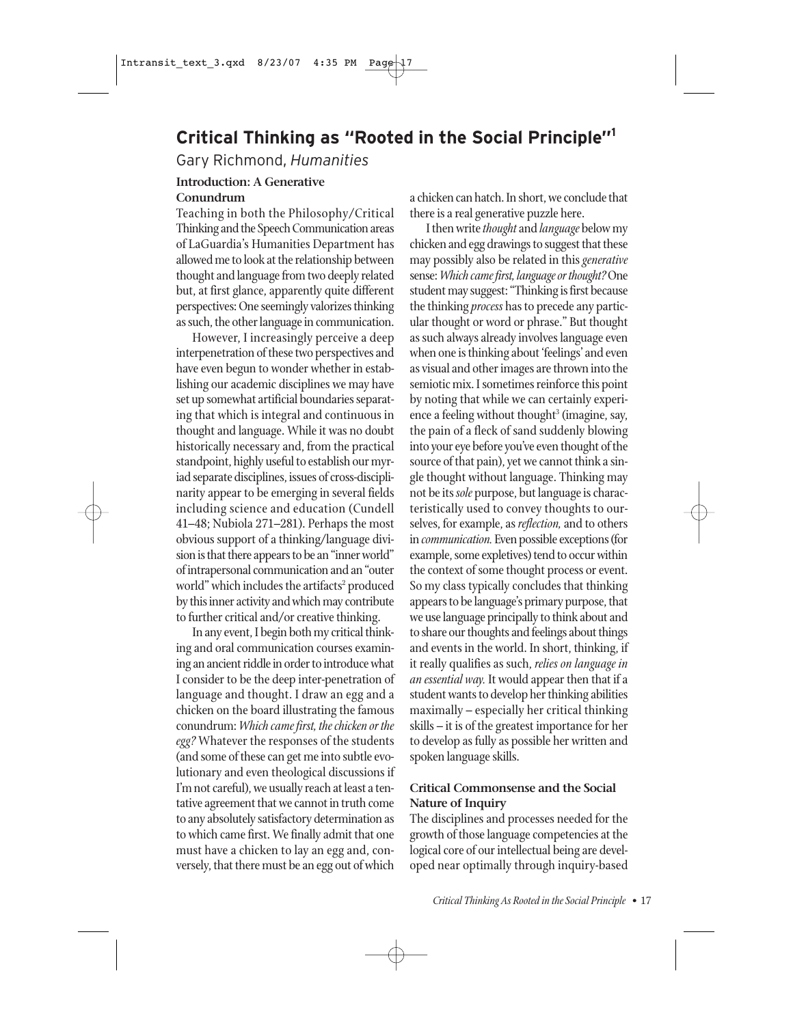# **Critical Thinking as "Rooted in the Social Principle"1**

Gary Richmond, *Humanities*

#### **Introduction: A Generative Conundrum**

Teaching in both the Philosophy/Critical Thinking and the Speech Communication areas of LaGuardia's Humanities Department has allowed me to look at the relationship between thought and language from two deeply related but, at first glance, apparently quite different perspectives: One seemingly valorizes thinking as such, the other language in communication.

However, I increasingly perceive a deep interpenetration of these two perspectives and have even begun to wonder whether in establishing our academic disciplines we may have set up somewhat artificial boundaries separating that which is integral and continuous in thought and language. While it was no doubt historically necessary and, from the practical standpoint, highly useful to establish our myriad separate disciplines, issues of cross-disciplinarity appear to be emerging in several fields including science and education (Cundell 41–48; Nubiola 271–281). Perhaps the most obvious support of a thinking/language division is that there appears to be an "inner world" of intrapersonal communication and an "outer world" which includes the artifacts<sup>2</sup> produced by this inner activity and which may contribute to further critical and/or creative thinking.

In any event, I begin both my critical thinking and oral communication courses examining an ancient riddle in order to introduce what I consider to be the deep inter-penetration of language and thought. I draw an egg and a chicken on the board illustrating the famous conundrum: *Which came first, the chicken or the egg?* Whatever the responses of the students (and some of these can get me into subtle evolutionary and even theological discussions if I'm not careful), we usually reach at least a tentative agreement that we cannot in truth come to any absolutely satisfactory determination as to which came first. We finally admit that one must have a chicken to lay an egg and, conversely, that there must be an egg out of which a chicken can hatch. In short, we conclude that there is a real generative puzzle here.

I then write *thought* and *language* below my chicken and egg drawings to suggest that these may possibly also be related in this *generative* sense: *Which came first, language or thought?* One student may suggest: "Thinking is first because the thinking *process* has to precede any particular thought or word or phrase." But thought as such always already involves language even when one is thinking about 'feelings' and even as visual and other images are thrown into the semiotic mix. I sometimes reinforce this point by noting that while we can certainly experience a feeling without thought<sup>3</sup> (imagine, say, the pain of a fleck of sand suddenly blowing into your eye before you've even thought of the source of that pain), yet we cannot think a single thought without language. Thinking may not be its *sole* purpose, but language is characteristically used to convey thoughts to ourselves, for example, as *reflection,* and to others in *communication.* Even possible exceptions (for example, some expletives) tend to occur within the context of some thought process or event. So my class typically concludes that thinking appears to be language's primary purpose, that we use language principally to think about and to share our thoughts and feelings about things and events in the world. In short, thinking, if it really qualifies as such, *relies on language in an essential way.* It would appear then that if a student wants to develop her thinking abilities maximally – especially her critical thinking skills – it is of the greatest importance for her to develop as fully as possible her written and spoken language skills.

## **Critical Commonsense and the Social Nature of Inquiry**

The disciplines and processes needed for the growth of those language competencies at the logical core of our intellectual being are developed near optimally through inquiry-based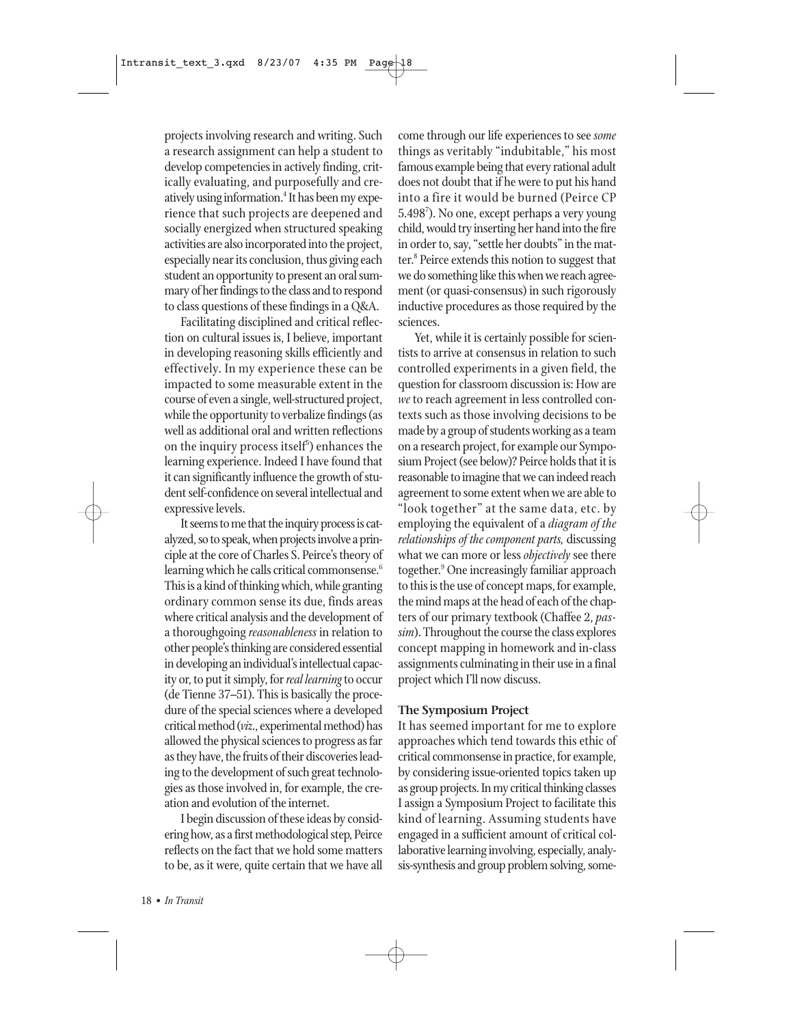projects involving research and writing. Such a research assignment can help a student to develop competencies in actively finding, critically evaluating, and purposefully and creatively using information.<sup>4</sup> It has been my experience that such projects are deepened and socially energized when structured speaking activities are also incorporated into the project, especially near its conclusion, thus giving each student an opportunity to present an oral summary of her findings to the class and to respond to class questions of these findings in a Q&A.

Facilitating disciplined and critical reflection on cultural issues is, I believe, important in developing reasoning skills efficiently and effectively. In my experience these can be impacted to some measurable extent in the course of even a single, well-structured project, while the opportunity to verbalize findings (as well as additional oral and written reflections on the inquiry process itself $\delta$ ) enhances the learning experience. Indeed I have found that it can significantly influence the growth of student self-confidence on several intellectual and expressive levels.

It seems to me that the inquiry process is catalyzed, so to speak, when projects involve a principle at the core of Charles S. Peirce's theory of learning which he calls critical commonsense.<sup>6</sup> This is a kind of thinking which, while granting ordinary common sense its due, finds areas where critical analysis and the development of a thoroughgoing *reasonableness* in relation to other people's thinking are considered essential in developing an individual's intellectual capacity or, to put it simply, for *real learning* to occur (de Tienne 37–51). This is basically the procedure of the special sciences where a developed critical method (*viz*., experimental method) has allowed the physical sciences to progress as far as they have, the fruits of their discoveries leading to the development of such great technologies as those involved in, for example, the creation and evolution of the internet.

I begin discussion of these ideas by considering how, as a first methodological step, Peirce reflects on the fact that we hold some matters to be, as it were, quite certain that we have all come through our life experiences to see *some* things as veritably "indubitable," his most famous example being that every rational adult does not doubt that if he were to put his hand into a fire it would be burned (Peirce CP 5.4987 ). No one, except perhaps a very young child, would try inserting her hand into the fire in order to, say, "settle her doubts" in the matter.<sup>8</sup> Peirce extends this notion to suggest that we do something like this when we reach agreement (or quasi-consensus) in such rigorously inductive procedures as those required by the sciences.

Yet, while it is certainly possible for scientists to arrive at consensus in relation to such controlled experiments in a given field, the question for classroom discussion is: How are *we* to reach agreement in less controlled contexts such as those involving decisions to be made by a group of students working as a team on a research project, for example our Symposium Project (see below)? Peirce holds that it is reasonable to imagine that we can indeed reach agreement to some extent when we are able to "look together" at the same data, etc. by employing the equivalent of a *diagram of the relationships of the component parts,* discussing what we can more or less *objectively* see there together.<sup>9</sup> One increasingly familiar approach to this is the use of concept maps, for example, the mind maps at the head of each of the chapters of our primary textbook (Chaffee 2, *passim*). Throughout the course the class explores concept mapping in homework and in-class assignments culminating in their use in a final project which I'll now discuss.

#### **The Symposium Project**

It has seemed important for me to explore approaches which tend towards this ethic of critical commonsense in practice, for example, by considering issue-oriented topics taken up as group projects. In my critical thinking classes I assign a Symposium Project to facilitate this kind of learning. Assuming students have engaged in a sufficient amount of critical collaborative learning involving, especially, analysis-synthesis and group problem solving, some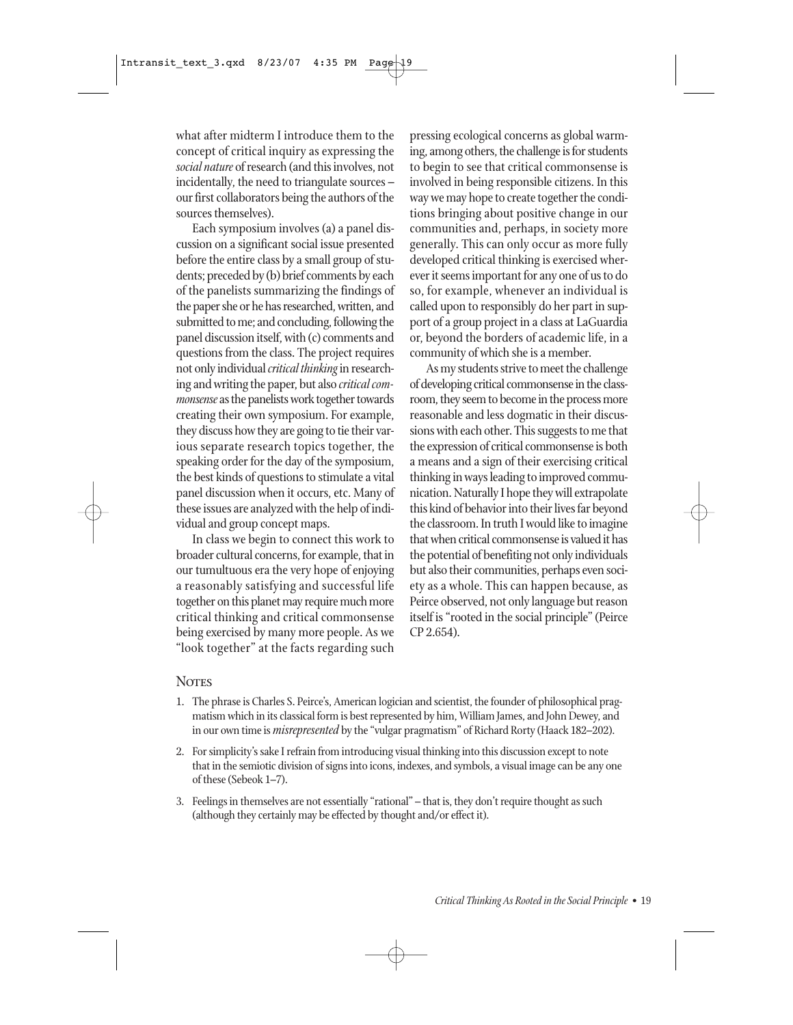what after midterm I introduce them to the concept of critical inquiry as expressing the *social nature* of research (and this involves, not incidentally, the need to triangulate sources – our first collaborators being the authors of the sources themselves).

Each symposium involves (a) a panel discussion on a significant social issue presented before the entire class by a small group of students; preceded by (b) brief comments by each of the panelists summarizing the findings of the paper she or he has researched, written, and submitted to me; and concluding, following the panel discussion itself, with (c) comments and questions from the class. The project requires not only individual *critical thinking*in researching and writing the paper, but also *critical commonsense* as the panelists work together towards creating their own symposium. For example, they discuss how they are going to tie their various separate research topics together, the speaking order for the day of the symposium, the best kinds of questions to stimulate a vital panel discussion when it occurs, etc. Many of these issues are analyzed with the help of individual and group concept maps.

In class we begin to connect this work to broader cultural concerns, for example, that in our tumultuous era the very hope of enjoying a reasonably satisfying and successful life together on this planet may require much more critical thinking and critical commonsense being exercised by many more people. As we "look together" at the facts regarding such pressing ecological concerns as global warming, among others, the challenge is for students to begin to see that critical commonsense is involved in being responsible citizens. In this way we may hope to create together the conditions bringing about positive change in our communities and, perhaps, in society more generally. This can only occur as more fully developed critical thinking is exercised wherever it seems important for any one of us to do so, for example, whenever an individual is called upon to responsibly do her part in support of a group project in a class at LaGuardia or, beyond the borders of academic life, in a community of which she is a member.

As my students strive to meet the challenge of developing critical commonsense in the classroom, they seem to become in the process more reasonable and less dogmatic in their discussions with each other. This suggests to me that the expression of critical commonsense is both a means and a sign of their exercising critical thinking in ways leading to improved communication. Naturally I hope they will extrapolate this kind of behavior into their lives far beyond the classroom. In truth I would like to imagine that when critical commonsense is valued it has the potential of benefiting not only individuals but also their communities, perhaps even society as a whole. This can happen because, as Peirce observed, not only language but reason itself is "rooted in the social principle" (Peirce CP 2.654).

## **NOTES**

- 1. The phrase is Charles S. Peirce's, American logician and scientist, the founder of philosophical pragmatism which in its classical form is best represented by him, William James, and John Dewey, and in our own time is *misrepresented* by the "vulgar pragmatism" of Richard Rorty (Haack 182–202).
- 2. For simplicity's sake I refrain from introducing visual thinking into this discussion except to note that in the semiotic division of signs into icons, indexes, and symbols, a visual image can be any one of these (Sebeok 1–7).
- 3. Feelings in themselves are not essentially "rational" that is, they don't require thought as such (although they certainly may be effected by thought and/or effect it).